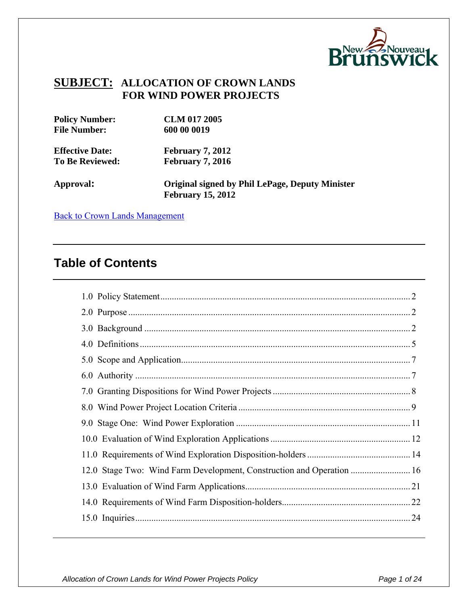

#### **SUBJECT: ALLOCATION OF CROWN LANDS FOR WIND POWER PROJECTS**

| <b>Policy Number:</b>  | <b>CLM 017 2005</b>                                    |
|------------------------|--------------------------------------------------------|
| <b>File Number:</b>    | 600 00 0019                                            |
| <b>Effective Date:</b> | <b>February 7, 2012</b>                                |
| <b>To Be Reviewed:</b> | <b>February 7, 2016</b>                                |
| Approval:              | <b>Original signed by Phil LePage, Deputy Minister</b> |
|                        | <b>February 15, 2012</b>                               |

**[Back to Crown Lands Management](http://intranet/0078/Policies/Policies-CrownLands-e.asp)** 

## **Table of Contents**

| 12.0 Stage Two: Wind Farm Development, Construction and Operation  16 |     |
|-----------------------------------------------------------------------|-----|
|                                                                       |     |
|                                                                       |     |
|                                                                       | .24 |
|                                                                       |     |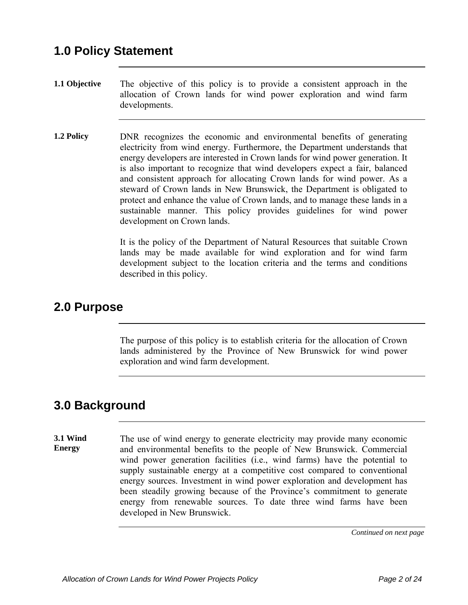- **1.1 Objective** The objective of this policy is to provide a consistent approach in the allocation of Crown lands for wind power exploration and wind farm developments.
- **1.2 Policy DNR** recognizes the economic and environmental benefits of generating electricity from wind energy. Furthermore, the Department understands that energy developers are interested in Crown lands for wind power generation. It is also important to recognize that wind developers expect a fair, balanced and consistent approach for allocating Crown lands for wind power. As a steward of Crown lands in New Brunswick, the Department is obligated to protect and enhance the value of Crown lands, and to manage these lands in a sustainable manner. This policy provides guidelines for wind power development on Crown lands.

It is the policy of the Department of Natural Resources that suitable Crown lands may be made available for wind exploration and for wind farm development subject to the location criteria and the terms and conditions described in this policy.

#### **2.0 Purpose**

The purpose of this policy is to establish criteria for the allocation of Crown lands administered by the Province of New Brunswick for wind power exploration and wind farm development.

## **3.0 Background**

**3.1 Wind Energy**  The use of wind energy to generate electricity may provide many economic and environmental benefits to the people of New Brunswick. Commercial wind power generation facilities (i.e., wind farms) have the potential to supply sustainable energy at a competitive cost compared to conventional energy sources. Investment in wind power exploration and development has been steadily growing because of the Province's commitment to generate energy from renewable sources. To date three wind farms have been developed in New Brunswick.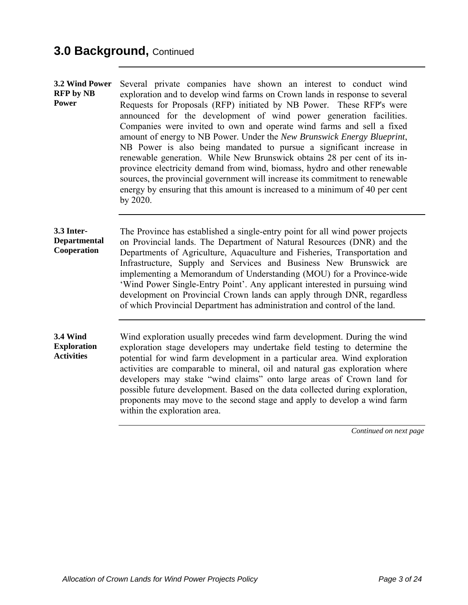# **3.0 Background,** Continued

| 3.2 Wind Power<br><b>RFP</b> by NB<br><b>Power</b>         | Several private companies have shown an interest to conduct wind<br>exploration and to develop wind farms on Crown lands in response to several<br>Requests for Proposals (RFP) initiated by NB Power. These RFP's were<br>announced for the development of wind power generation facilities.<br>Companies were invited to own and operate wind farms and sell a fixed<br>amount of energy to NB Power. Under the New Brunswick Energy Blueprint,<br>NB Power is also being mandated to pursue a significant increase in<br>renewable generation. While New Brunswick obtains 28 per cent of its in-<br>province electricity demand from wind, biomass, hydro and other renewable<br>sources, the provincial government will increase its commitment to renewable<br>energy by ensuring that this amount is increased to a minimum of 40 per cent<br>by 2020. |
|------------------------------------------------------------|---------------------------------------------------------------------------------------------------------------------------------------------------------------------------------------------------------------------------------------------------------------------------------------------------------------------------------------------------------------------------------------------------------------------------------------------------------------------------------------------------------------------------------------------------------------------------------------------------------------------------------------------------------------------------------------------------------------------------------------------------------------------------------------------------------------------------------------------------------------|
| 3.3 Inter-<br><b>Departmental</b><br>Cooperation           | The Province has established a single-entry point for all wind power projects<br>on Provincial lands. The Department of Natural Resources (DNR) and the<br>Departments of Agriculture, Aquaculture and Fisheries, Transportation and<br>Infrastructure, Supply and Services and Business New Brunswick are<br>implementing a Memorandum of Understanding (MOU) for a Province-wide<br>'Wind Power Single-Entry Point'. Any applicant interested in pursuing wind<br>development on Provincial Crown lands can apply through DNR, regardless<br>of which Provincial Department has administration and control of the land.                                                                                                                                                                                                                                     |
| <b>3.4 Wind</b><br><b>Exploration</b><br><b>Activities</b> | Wind exploration usually precedes wind farm development. During the wind<br>exploration stage developers may undertake field testing to determine the<br>potential for wind farm development in a particular area. Wind exploration<br>activities are comparable to mineral, oil and natural gas exploration where<br>developers may stake "wind claims" onto large areas of Crown land for<br>possible future development. Based on the data collected during exploration,<br>proponents may move to the second stage and apply to develop a wind farm<br>within the exploration area.                                                                                                                                                                                                                                                                       |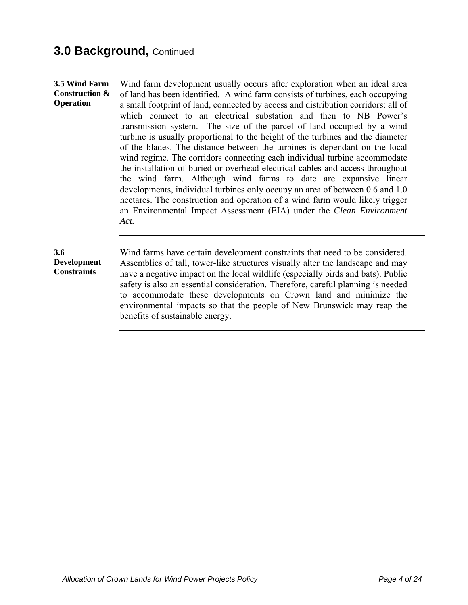**3.5 Wind Farm Construction & Operation**  Wind farm development usually occurs after exploration when an ideal area of land has been identified. A wind farm consists of turbines, each occupying a small footprint of land, connected by access and distribution corridors: all of which connect to an electrical substation and then to NB Power's transmission system. The size of the parcel of land occupied by a wind turbine is usually proportional to the height of the turbines and the diameter of the blades. The distance between the turbines is dependant on the local wind regime. The corridors connecting each individual turbine accommodate the installation of buried or overhead electrical cables and access throughout the wind farm. Although wind farms to date are expansive linear developments, individual turbines only occupy an area of between 0.6 and 1.0 hectares. The construction and operation of a wind farm would likely trigger an Environmental Impact Assessment (EIA) under the *Clean Environment Act.*

#### **3.6 Development Constraints**

Wind farms have certain development constraints that need to be considered. Assemblies of tall, tower-like structures visually alter the landscape and may have a negative impact on the local wildlife (especially birds and bats). Public safety is also an essential consideration. Therefore, careful planning is needed to accommodate these developments on Crown land and minimize the environmental impacts so that the people of New Brunswick may reap the benefits of sustainable energy.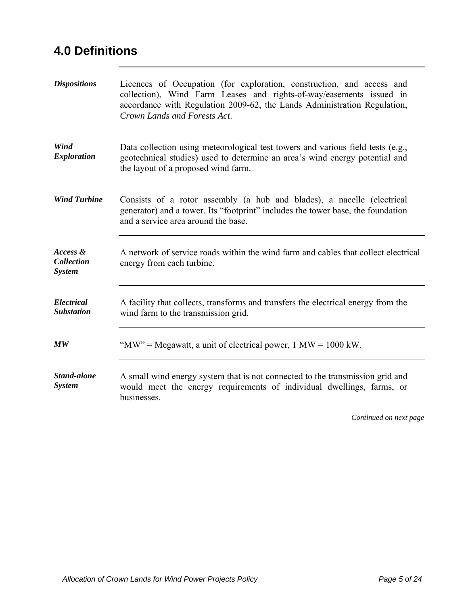# **4.0 Definitions**

| <b>Dispositions</b>                            | Licences of Occupation (for exploration, construction, and access and<br>collection), Wind Farm Leases and rights-of-way/easements issued in<br>accordance with Regulation 2009-62, the Lands Administration Regulation,<br>Crown Lands and Forests Act. |
|------------------------------------------------|----------------------------------------------------------------------------------------------------------------------------------------------------------------------------------------------------------------------------------------------------------|
| Wind<br><b>Exploration</b>                     | Data collection using meteorological test towers and various field tests (e.g.,<br>geotechnical studies) used to determine an area's wind energy potential and<br>the layout of a proposed wind farm.                                                    |
| <b>Wind Turbine</b>                            | Consists of a rotor assembly (a hub and blades), a nacelle (electrical<br>generator) and a tower. Its "footprint" includes the tower base, the foundation<br>and a service area around the base.                                                         |
| Access &<br><b>Collection</b><br><b>System</b> | A network of service roads within the wind farm and cables that collect electrical<br>energy from each turbine.                                                                                                                                          |
| <b>Electrical</b><br><b>Substation</b>         | A facility that collects, transforms and transfers the electrical energy from the<br>wind farm to the transmission grid.                                                                                                                                 |
| $\boldsymbol{M}\boldsymbol{W}$                 | "MW" = Megawatt, a unit of electrical power, $1 \text{ MW} = 1000 \text{ kW}$ .                                                                                                                                                                          |
| Stand-alone<br><b>System</b>                   | A small wind energy system that is not connected to the transmission grid and<br>would meet the energy requirements of individual dwellings, farms, or<br>businesses.                                                                                    |
|                                                | Continued on next page                                                                                                                                                                                                                                   |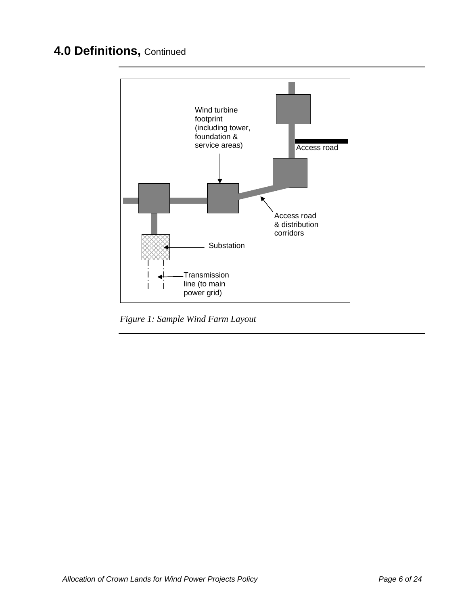## **4.0 Definitions,** Continued



*Figure 1: Sample Wind Farm Layout*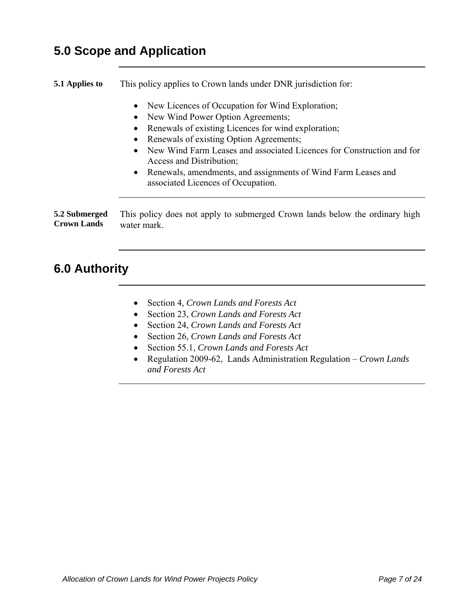## **5.0 Scope and Application**

**5.1 Applies to** This policy applies to Crown lands under DNR jurisdiction for:

- New Licences of Occupation for Wind Exploration;
- New Wind Power Option Agreements;
- Renewals of existing Licences for wind exploration;
- Renewals of existing Option Agreements;
- New Wind Farm Leases and associated Licences for Construction and for Access and Distribution;
- Renewals, amendments, and assignments of Wind Farm Leases and associated Licences of Occupation.

**5.2 Submerged Crown Lands**  This policy does not apply to submerged Crown lands below the ordinary high water mark.

## **6.0 Authority**

- Section 4, *Crown Lands and Forests Act*
- Section 23, *Crown Lands and Forests Act*
- Section 24, *Crown Lands and Forests Act*
- Section 26, *Crown Lands and Forests Act*
- Section 55.1, *Crown Lands and Forests Act*
- Regulation 2009-62, Lands Administration Regulation *Crown Lands and Forests Act*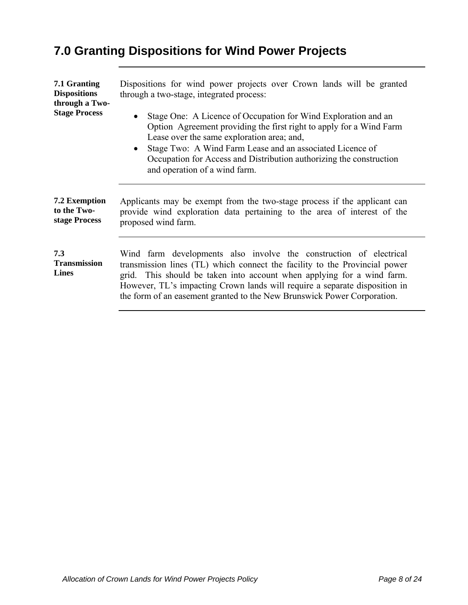# **7.0 Granting Dispositions for Wind Power Projects**

| 7.1 Granting<br><b>Dispositions</b><br>through a Two- | Dispositions for wind power projects over Crown lands will be granted<br>through a two-stage, integrated process:                                                                                                                                                                                                                                                                      |
|-------------------------------------------------------|----------------------------------------------------------------------------------------------------------------------------------------------------------------------------------------------------------------------------------------------------------------------------------------------------------------------------------------------------------------------------------------|
| <b>Stage Process</b>                                  | Stage One: A Licence of Occupation for Wind Exploration and an<br>$\bullet$<br>Option Agreement providing the first right to apply for a Wind Farm<br>Lease over the same exploration area; and,<br>Stage Two: A Wind Farm Lease and an associated Licence of<br>$\bullet$<br>Occupation for Access and Distribution authorizing the construction<br>and operation of a wind farm.     |
| 7.2 Exemption<br>to the Two-<br>stage Process         | Applicants may be exempt from the two-stage process if the applicant can<br>provide wind exploration data pertaining to the area of interest of the<br>proposed wind farm.                                                                                                                                                                                                             |
| 7.3<br><b>Transmission</b><br><b>Lines</b>            | Wind farm developments also involve the construction of electrical<br>transmission lines (TL) which connect the facility to the Provincial power<br>This should be taken into account when applying for a wind farm.<br>grid.<br>However, TL's impacting Crown lands will require a separate disposition in<br>the form of an easement granted to the New Brunswick Power Corporation. |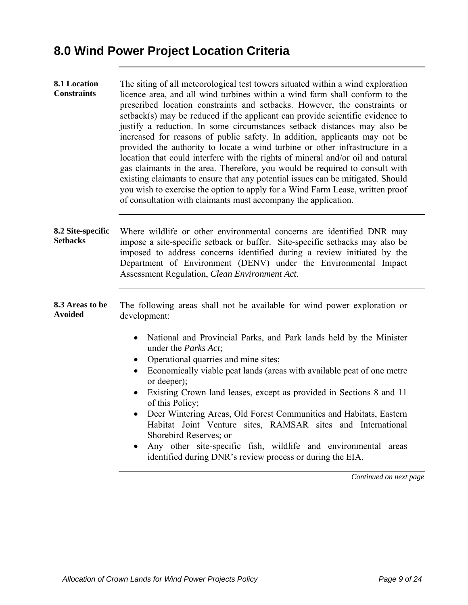| 8.1 Location<br><b>Constraints</b>   | The siting of all meteorological test towers situated within a wind exploration<br>licence area, and all wind turbines within a wind farm shall conform to the<br>prescribed location constraints and setbacks. However, the constraints or<br>setback(s) may be reduced if the applicant can provide scientific evidence to<br>justify a reduction. In some circumstances setback distances may also be<br>increased for reasons of public safety. In addition, applicants may not be<br>provided the authority to locate a wind turbine or other infrastructure in a<br>location that could interfere with the rights of mineral and/or oil and natural<br>gas claimants in the area. Therefore, you would be required to consult with<br>existing claimants to ensure that any potential issues can be mitigated. Should<br>you wish to exercise the option to apply for a Wind Farm Lease, written proof<br>of consultation with claimants must accompany the application. |
|--------------------------------------|--------------------------------------------------------------------------------------------------------------------------------------------------------------------------------------------------------------------------------------------------------------------------------------------------------------------------------------------------------------------------------------------------------------------------------------------------------------------------------------------------------------------------------------------------------------------------------------------------------------------------------------------------------------------------------------------------------------------------------------------------------------------------------------------------------------------------------------------------------------------------------------------------------------------------------------------------------------------------------|
| 8.2 Site-specific<br><b>Setbacks</b> | Where wildlife or other environmental concerns are identified DNR may<br>impose a site-specific setback or buffer. Site-specific setbacks may also be<br>imposed to address concerns identified during a review initiated by the<br>Department of Environment (DENV) under the Environmental Impact<br>Assessment Regulation, Clean Environment Act.                                                                                                                                                                                                                                                                                                                                                                                                                                                                                                                                                                                                                           |
| 8.3 Areas to be<br><b>Avoided</b>    | The following areas shall not be available for wind power exploration or<br>development:                                                                                                                                                                                                                                                                                                                                                                                                                                                                                                                                                                                                                                                                                                                                                                                                                                                                                       |
|                                      | National and Provincial Parks, and Park lands held by the Minister<br>$\bullet$<br>under the <i>Parks Act</i> ;<br>Operational quarries and mine sites;<br>$\bullet$<br>Economically viable peat lands (areas with available peat of one metre<br>$\bullet$<br>or deeper);<br>Existing Crown land leases, except as provided in Sections 8 and 11<br>$\bullet$<br>of this Policy;<br>Deer Wintering Areas, Old Forest Communities and Habitats, Eastern<br>Habitat Joint Venture sites, RAMSAR sites and International<br>Shorebird Reserves; or<br>Any other site-specific fish, wildlife and environmental areas<br>identified during DNR's review process or during the EIA.<br>Continued on next page                                                                                                                                                                                                                                                                      |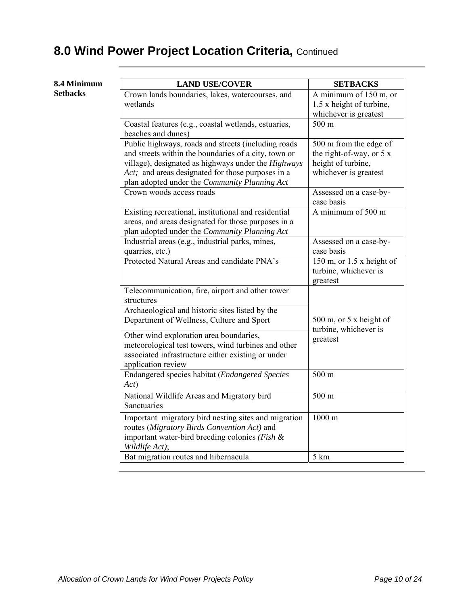## **8.0 Wind Power Project Location Criteria, Continued**

#### **8.4 Minimum Setbacks**

| <b>LAND USE/COVER</b>                                                                                                                                                                                                                                                           | <b>SETBACKS</b>                                                                                    |
|---------------------------------------------------------------------------------------------------------------------------------------------------------------------------------------------------------------------------------------------------------------------------------|----------------------------------------------------------------------------------------------------|
| Crown lands boundaries, lakes, watercourses, and<br>wetlands                                                                                                                                                                                                                    | A minimum of 150 m, or<br>1.5 x height of turbine,<br>whichever is greatest                        |
| Coastal features (e.g., coastal wetlands, estuaries,<br>beaches and dunes)                                                                                                                                                                                                      | 500 m                                                                                              |
| Public highways, roads and streets (including roads<br>and streets within the boundaries of a city, town or<br>village), designated as highways under the <i>Highways</i><br>Act; and areas designated for those purposes in a<br>plan adopted under the Community Planning Act | 500 m from the edge of<br>the right-of-way, or $5x$<br>height of turbine,<br>whichever is greatest |
| Crown woods access roads                                                                                                                                                                                                                                                        | Assessed on a case-by-<br>case basis                                                               |
| Existing recreational, institutional and residential<br>areas, and areas designated for those purposes in a<br>plan adopted under the Community Planning Act                                                                                                                    | A minimum of 500 m                                                                                 |
| Industrial areas (e.g., industrial parks, mines,<br>quarries, etc.)                                                                                                                                                                                                             | Assessed on a case-by-<br>case basis                                                               |
| Protected Natural Areas and candidate PNA's                                                                                                                                                                                                                                     | 150 m, or $1.5$ x height of<br>turbine, whichever is<br>greatest                                   |
| Telecommunication, fire, airport and other tower<br>structures                                                                                                                                                                                                                  |                                                                                                    |
| Archaeological and historic sites listed by the<br>Department of Wellness, Culture and Sport                                                                                                                                                                                    | 500 m, or $5x$ height of<br>turbine, whichever is                                                  |
| Other wind exploration area boundaries,<br>meteorological test towers, wind turbines and other<br>associated infrastructure either existing or under<br>application review                                                                                                      | greatest                                                                                           |
| Endangered species habitat (Endangered Species<br>Act)                                                                                                                                                                                                                          | 500 m                                                                                              |
| National Wildlife Areas and Migratory bird<br>Sanctuaries                                                                                                                                                                                                                       | 500 m                                                                                              |
| Important migratory bird nesting sites and migration<br>routes (Migratory Birds Convention Act) and<br>important water-bird breeding colonies (Fish &<br>Wildlife Act);                                                                                                         | 1000 m                                                                                             |
| Bat migration routes and hibernacula                                                                                                                                                                                                                                            | 5 km                                                                                               |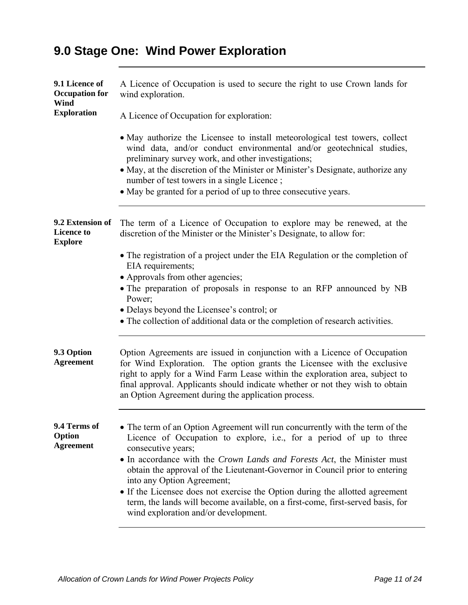# **9.0 Stage One: Wind Power Exploration**

| 9.1 Licence of<br><b>Occupation</b> for<br>Wind         | A Licence of Occupation is used to secure the right to use Crown lands for<br>wind exploration.                                                                                                                                                                                                                                                                                                                                                                                                                                                                              |
|---------------------------------------------------------|------------------------------------------------------------------------------------------------------------------------------------------------------------------------------------------------------------------------------------------------------------------------------------------------------------------------------------------------------------------------------------------------------------------------------------------------------------------------------------------------------------------------------------------------------------------------------|
| <b>Exploration</b>                                      | A Licence of Occupation for exploration:                                                                                                                                                                                                                                                                                                                                                                                                                                                                                                                                     |
|                                                         | • May authorize the Licensee to install meteorological test towers, collect<br>wind data, and/or conduct environmental and/or geotechnical studies,<br>preliminary survey work, and other investigations;<br>• May, at the discretion of the Minister or Minister's Designate, authorize any<br>number of test towers in a single Licence;<br>• May be granted for a period of up to three consecutive years.                                                                                                                                                                |
| 9.2 Extension of<br><b>Licence to</b><br><b>Explore</b> | The term of a Licence of Occupation to explore may be renewed, at the<br>discretion of the Minister or the Minister's Designate, to allow for:                                                                                                                                                                                                                                                                                                                                                                                                                               |
|                                                         | • The registration of a project under the EIA Regulation or the completion of<br>EIA requirements;                                                                                                                                                                                                                                                                                                                                                                                                                                                                           |
|                                                         | • Approvals from other agencies;<br>• The preparation of proposals in response to an RFP announced by NB<br>Power;                                                                                                                                                                                                                                                                                                                                                                                                                                                           |
|                                                         | • Delays beyond the Licensee's control; or<br>• The collection of additional data or the completion of research activities.                                                                                                                                                                                                                                                                                                                                                                                                                                                  |
| 9.3 Option<br><b>Agreement</b>                          | Option Agreements are issued in conjunction with a Licence of Occupation<br>for Wind Exploration. The option grants the Licensee with the exclusive<br>right to apply for a Wind Farm Lease within the exploration area, subject to<br>final approval. Applicants should indicate whether or not they wish to obtain<br>an Option Agreement during the application process.                                                                                                                                                                                                  |
| 9.4 Terms of<br>Option<br><b>Agreement</b>              | • The term of an Option Agreement will run concurrently with the term of the<br>Licence of Occupation to explore, i.e., for a period of up to three<br>consecutive years;<br>• In accordance with the Crown Lands and Forests Act, the Minister must<br>obtain the approval of the Lieutenant-Governor in Council prior to entering<br>into any Option Agreement;<br>• If the Licensee does not exercise the Option during the allotted agreement<br>term, the lands will become available, on a first-come, first-served basis, for<br>wind exploration and/or development. |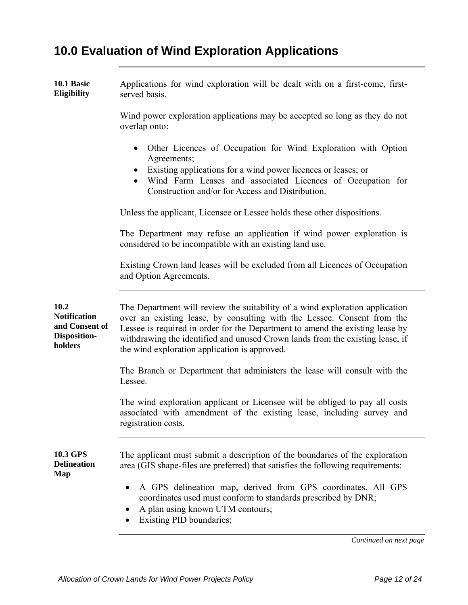# **10.0 Evaluation of Wind Exploration Applications**

| 10.1 Basic<br>Eligibility                                                       | Applications for wind exploration will be dealt with on a first-come, first-<br>served basis.                                                                                                                                                                                                                                                                              |
|---------------------------------------------------------------------------------|----------------------------------------------------------------------------------------------------------------------------------------------------------------------------------------------------------------------------------------------------------------------------------------------------------------------------------------------------------------------------|
|                                                                                 | Wind power exploration applications may be accepted so long as they do not<br>overlap onto:                                                                                                                                                                                                                                                                                |
|                                                                                 | Other Licences of Occupation for Wind Exploration with Option<br>$\bullet$<br>Agreements;<br>Existing applications for a wind power licences or leases; or<br>Wind Farm Leases and associated Licences of Occupation for<br>Construction and/or for Access and Distribution.                                                                                               |
|                                                                                 | Unless the applicant, Licensee or Lessee holds these other dispositions.                                                                                                                                                                                                                                                                                                   |
|                                                                                 | The Department may refuse an application if wind power exploration is<br>considered to be incompatible with an existing land use.                                                                                                                                                                                                                                          |
|                                                                                 | Existing Crown land leases will be excluded from all Licences of Occupation<br>and Option Agreements.                                                                                                                                                                                                                                                                      |
| 10.2<br><b>Notification</b><br>and Consent of<br><b>Disposition-</b><br>holders | The Department will review the suitability of a wind exploration application<br>over an existing lease, by consulting with the Lessee. Consent from the<br>Lessee is required in order for the Department to amend the existing lease by<br>withdrawing the identified and unused Crown lands from the existing lease, if<br>the wind exploration application is approved. |
|                                                                                 | The Branch or Department that administers the lease will consult with the<br>Lessee.                                                                                                                                                                                                                                                                                       |
|                                                                                 | The wind exploration applicant or Licensee will be obliged to pay all costs<br>associated with amendment of the existing lease, including survey and<br>registration costs.                                                                                                                                                                                                |
| 10.3 GPS<br><b>Delineation</b><br>Map                                           | The applicant must submit a description of the boundaries of the exploration<br>area (GIS shape-files are preferred) that satisfies the following requirements:                                                                                                                                                                                                            |
|                                                                                 | A GPS delineation map, derived from GPS coordinates. All GPS<br>coordinates used must conform to standards prescribed by DNR;<br>A plan using known UTM contours;<br>Existing PID boundaries;                                                                                                                                                                              |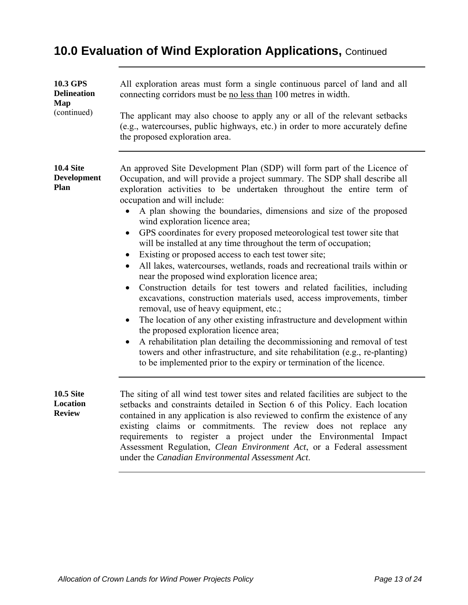# **10.0 Evaluation of Wind Exploration Applications,** Continued

| 10.3 GPS<br><b>Delineation</b><br>Map<br>(continued) | All exploration areas must form a single continuous parcel of land and all<br>connecting corridors must be no less than 100 metres in width.                                                                                                                                                                                                                                                                                                                                                                                                                                                                                                                                                                                                                                                                                                                                                                                                                                                                                                                                                                                                                                                                                                                                                    |
|------------------------------------------------------|-------------------------------------------------------------------------------------------------------------------------------------------------------------------------------------------------------------------------------------------------------------------------------------------------------------------------------------------------------------------------------------------------------------------------------------------------------------------------------------------------------------------------------------------------------------------------------------------------------------------------------------------------------------------------------------------------------------------------------------------------------------------------------------------------------------------------------------------------------------------------------------------------------------------------------------------------------------------------------------------------------------------------------------------------------------------------------------------------------------------------------------------------------------------------------------------------------------------------------------------------------------------------------------------------|
|                                                      | The applicant may also choose to apply any or all of the relevant setbacks<br>(e.g., watercourses, public highways, etc.) in order to more accurately define<br>the proposed exploration area.                                                                                                                                                                                                                                                                                                                                                                                                                                                                                                                                                                                                                                                                                                                                                                                                                                                                                                                                                                                                                                                                                                  |
| <b>10.4 Site</b><br><b>Development</b><br>Plan       | An approved Site Development Plan (SDP) will form part of the Licence of<br>Occupation, and will provide a project summary. The SDP shall describe all<br>exploration activities to be undertaken throughout the entire term of<br>occupation and will include:<br>A plan showing the boundaries, dimensions and size of the proposed<br>wind exploration licence area;<br>GPS coordinates for every proposed meteorological test tower site that<br>$\bullet$<br>will be installed at any time throughout the term of occupation;<br>Existing or proposed access to each test tower site;<br>All lakes, watercourses, wetlands, roads and recreational trails within or<br>near the proposed wind exploration licence area;<br>Construction details for test towers and related facilities, including<br>$\bullet$<br>excavations, construction materials used, access improvements, timber<br>removal, use of heavy equipment, etc.;<br>The location of any other existing infrastructure and development within<br>the proposed exploration licence area;<br>A rehabilitation plan detailing the decommissioning and removal of test<br>towers and other infrastructure, and site rehabilitation (e.g., re-planting)<br>to be implemented prior to the expiry or termination of the licence. |
| <b>10.5 Site</b><br>Location<br><b>Review</b>        | The siting of all wind test tower sites and related facilities are subject to the<br>setbacks and constraints detailed in Section 6 of this Policy. Each location<br>contained in any application is also reviewed to confirm the existence of any<br>existing claims or commitments. The review does not replace any<br>requirements to register a project under the Environmental Impact<br>Assessment Regulation, Clean Environment Act, or a Federal assessment<br>under the Canadian Environmental Assessment Act.                                                                                                                                                                                                                                                                                                                                                                                                                                                                                                                                                                                                                                                                                                                                                                         |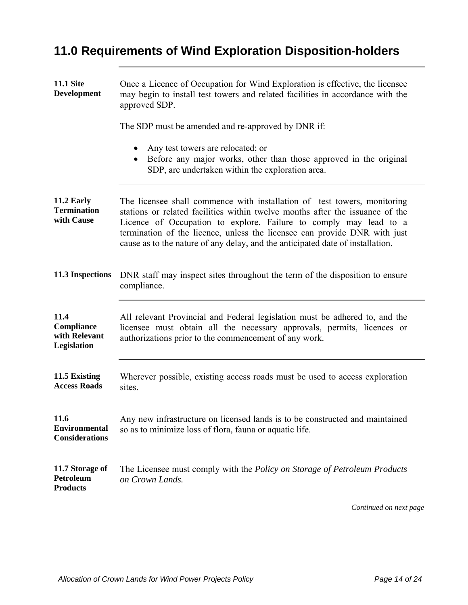# **11.0 Requirements of Wind Exploration Disposition-holders**

| <b>11.1 Site</b><br><b>Development</b>                 | Once a Licence of Occupation for Wind Exploration is effective, the licensee<br>may begin to install test towers and related facilities in accordance with the<br>approved SDP.                                                                                                                                                                                                               |
|--------------------------------------------------------|-----------------------------------------------------------------------------------------------------------------------------------------------------------------------------------------------------------------------------------------------------------------------------------------------------------------------------------------------------------------------------------------------|
|                                                        | The SDP must be amended and re-approved by DNR if:                                                                                                                                                                                                                                                                                                                                            |
|                                                        | Any test towers are relocated; or<br>$\bullet$<br>Before any major works, other than those approved in the original<br>$\bullet$<br>SDP, are undertaken within the exploration area.                                                                                                                                                                                                          |
| 11.2 Early<br><b>Termination</b><br>with Cause         | The licensee shall commence with installation of test towers, monitoring<br>stations or related facilities within twelve months after the issuance of the<br>Licence of Occupation to explore. Failure to comply may lead to a<br>termination of the licence, unless the licensee can provide DNR with just<br>cause as to the nature of any delay, and the anticipated date of installation. |
| 11.3 Inspections                                       | DNR staff may inspect sites throughout the term of the disposition to ensure<br>compliance.                                                                                                                                                                                                                                                                                                   |
| 11.4<br>Compliance<br>with Relevant<br>Legislation     | All relevant Provincial and Federal legislation must be adhered to, and the<br>licensee must obtain all the necessary approvals, permits, licences or<br>authorizations prior to the commencement of any work.                                                                                                                                                                                |
| 11.5 Existing<br><b>Access Roads</b>                   | Wherever possible, existing access roads must be used to access exploration<br>sites.                                                                                                                                                                                                                                                                                                         |
| 11.6<br><b>Environmental</b><br><b>Considerations</b>  | Any new infrastructure on licensed lands is to be constructed and maintained<br>so as to minimize loss of flora, fauna or aquatic life.                                                                                                                                                                                                                                                       |
| 11.7 Storage of<br><b>Petroleum</b><br><b>Products</b> | The Licensee must comply with the <i>Policy on Storage of Petroleum Products</i><br>on Crown Lands.                                                                                                                                                                                                                                                                                           |
|                                                        | Continued on next page                                                                                                                                                                                                                                                                                                                                                                        |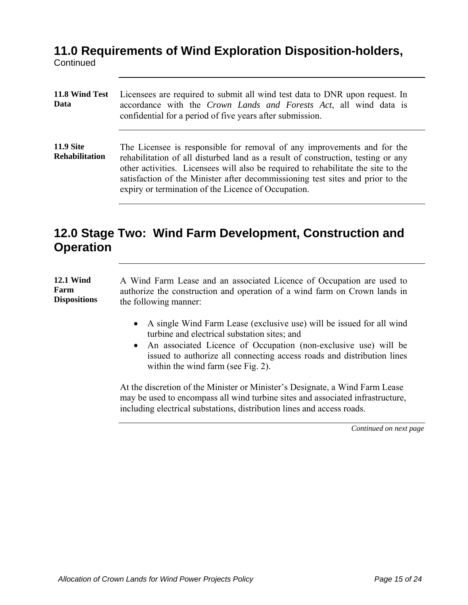#### **11.0 Requirements of Wind Exploration Disposition-holders,**

**Continued** 

| 11.8 Wind Test<br>Data                    | Licensees are required to submit all wind test data to DNR upon request. In<br>accordance with the Crown Lands and Forests Act, all wind data is<br>confidential for a period of five years after submission.                                                                                                                                                                             |
|-------------------------------------------|-------------------------------------------------------------------------------------------------------------------------------------------------------------------------------------------------------------------------------------------------------------------------------------------------------------------------------------------------------------------------------------------|
| <b>11.9 Site</b><br><b>Rehabilitation</b> | The Licensee is responsible for removal of any improvements and for the<br>rehabilitation of all disturbed land as a result of construction, testing or any<br>other activities. Licensees will also be required to rehabilitate the site to the<br>satisfaction of the Minister after decommissioning test sites and prior to the<br>expiry or termination of the Licence of Occupation. |

### **12.0 Stage Two: Wind Farm Development, Construction and Operation**

**12.1 Wind Farm Dispositions**  A Wind Farm Lease and an associated Licence of Occupation are used to authorize the construction and operation of a wind farm on Crown lands in the following manner:

- A single Wind Farm Lease (exclusive use) will be issued for all wind turbine and electrical substation sites; and
- An associated Licence of Occupation (non-exclusive use) will be issued to authorize all connecting access roads and distribution lines within the wind farm (see Fig. 2).

At the discretion of the Minister or Minister's Designate, a Wind Farm Lease may be used to encompass all wind turbine sites and associated infrastructure, including electrical substations, distribution lines and access roads.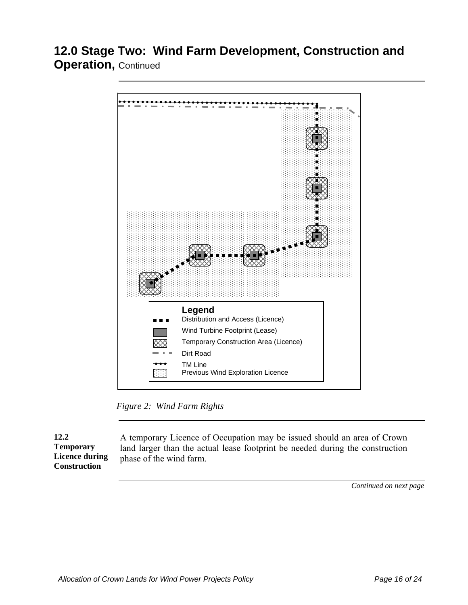### **12.0 Stage Two: Wind Farm Development, Construction and Operation, Continued**



*Figure 2: Wind Farm Rights* 

**12.2 Temporary Licence during Construction** 

A temporary Licence of Occupation may be issued should an area of Crown land larger than the actual lease footprint be needed during the construction phase of the wind farm.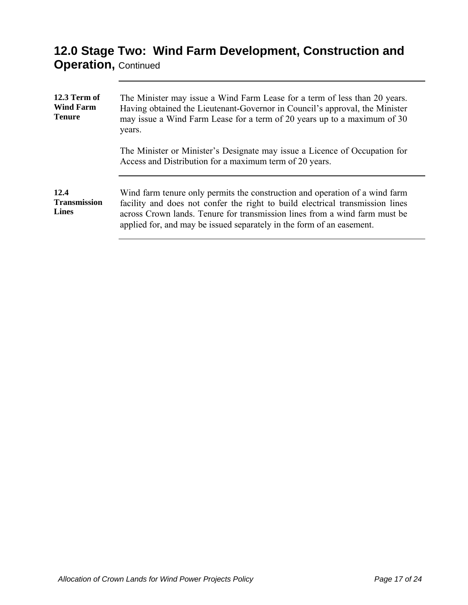## **12.0 Stage Two: Wind Farm Development, Construction and Operation, Continued**

| 12.3 Term of<br><b>Wind Farm</b><br><b>Tenure</b> | The Minister may issue a Wind Farm Lease for a term of less than 20 years.<br>Having obtained the Lieutenant-Governor in Council's approval, the Minister<br>may issue a Wind Farm Lease for a term of 20 years up to a maximum of 30<br>years.                                                                     |
|---------------------------------------------------|---------------------------------------------------------------------------------------------------------------------------------------------------------------------------------------------------------------------------------------------------------------------------------------------------------------------|
|                                                   | The Minister or Minister's Designate may issue a Licence of Occupation for<br>Access and Distribution for a maximum term of 20 years.                                                                                                                                                                               |
| 12.4<br><b>Transmission</b><br><b>Lines</b>       | Wind farm tenure only permits the construction and operation of a wind farm<br>facility and does not confer the right to build electrical transmission lines<br>across Crown lands. Tenure for transmission lines from a wind farm must be<br>applied for, and may be issued separately in the form of an easement. |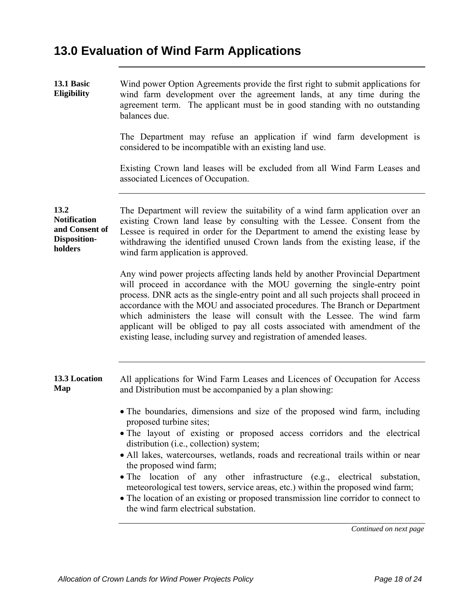# **13.0 Evaluation of Wind Farm Applications**

| 13.1 Basic<br>Eligibility                                                | Wind power Option Agreements provide the first right to submit applications for<br>wind farm development over the agreement lands, at any time during the<br>agreement term. The applicant must be in good standing with no outstanding<br>balances due.                                                                                                                                                                                                                                                                                                                                                                                  |
|--------------------------------------------------------------------------|-------------------------------------------------------------------------------------------------------------------------------------------------------------------------------------------------------------------------------------------------------------------------------------------------------------------------------------------------------------------------------------------------------------------------------------------------------------------------------------------------------------------------------------------------------------------------------------------------------------------------------------------|
|                                                                          | The Department may refuse an application if wind farm development is<br>considered to be incompatible with an existing land use.                                                                                                                                                                                                                                                                                                                                                                                                                                                                                                          |
|                                                                          | Existing Crown land leases will be excluded from all Wind Farm Leases and<br>associated Licences of Occupation.                                                                                                                                                                                                                                                                                                                                                                                                                                                                                                                           |
| 13.2<br><b>Notification</b><br>and Consent of<br>Disposition-<br>holders | The Department will review the suitability of a wind farm application over an<br>existing Crown land lease by consulting with the Lessee. Consent from the<br>Lessee is required in order for the Department to amend the existing lease by<br>withdrawing the identified unused Crown lands from the existing lease, if the<br>wind farm application is approved.                                                                                                                                                                                                                                                                        |
|                                                                          | Any wind power projects affecting lands held by another Provincial Department<br>will proceed in accordance with the MOU governing the single-entry point<br>process. DNR acts as the single-entry point and all such projects shall proceed in<br>accordance with the MOU and associated procedures. The Branch or Department<br>which administers the lease will consult with the Lessee. The wind farm<br>applicant will be obliged to pay all costs associated with amendment of the<br>existing lease, including survey and registration of amended leases.                                                                          |
| 13.3 Location<br>Map                                                     | All applications for Wind Farm Leases and Licences of Occupation for Access<br>and Distribution must be accompanied by a plan showing:                                                                                                                                                                                                                                                                                                                                                                                                                                                                                                    |
|                                                                          | • The boundaries, dimensions and size of the proposed wind farm, including<br>proposed turbine sites;<br>· The layout of existing or proposed access corridors and the electrical<br>distribution (i.e., collection) system;<br>• All lakes, watercourses, wetlands, roads and recreational trails within or near<br>the proposed wind farm;<br>• The location of any other infrastructure (e.g., electrical substation,<br>meteorological test towers, service areas, etc.) within the proposed wind farm;<br>• The location of an existing or proposed transmission line corridor to connect to<br>the wind farm electrical substation. |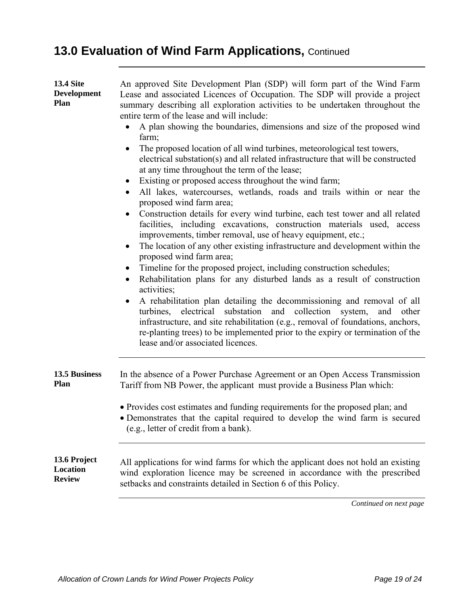# **13.0 Evaluation of Wind Farm Applications, Continued**

| <b>13.4 Site</b><br><b>Development</b><br>Plan | An approved Site Development Plan (SDP) will form part of the Wind Farm<br>Lease and associated Licences of Occupation. The SDP will provide a project<br>summary describing all exploration activities to be undertaken throughout the<br>entire term of the lease and will include:<br>A plan showing the boundaries, dimensions and size of the proposed wind<br>farm;<br>The proposed location of all wind turbines, meteorological test towers,<br>electrical substation(s) and all related infrastructure that will be constructed<br>at any time throughout the term of the lease;<br>Existing or proposed access throughout the wind farm;<br>All lakes, watercourses, wetlands, roads and trails within or near the<br>proposed wind farm area;<br>Construction details for every wind turbine, each test tower and all related<br>facilities, including excavations, construction materials used, access<br>improvements, timber removal, use of heavy equipment, etc.;<br>The location of any other existing infrastructure and development within the<br>$\bullet$<br>proposed wind farm area;<br>Timeline for the proposed project, including construction schedules;<br>Rehabilitation plans for any disturbed lands as a result of construction<br>activities;<br>A rehabilitation plan detailing the decommissioning and removal of all<br>electrical substation and collection system, and<br>turbines,<br>other<br>infrastructure, and site rehabilitation (e.g., removal of foundations, anchors,<br>re-planting trees) to be implemented prior to the expiry or termination of the<br>lease and/or associated licences. |
|------------------------------------------------|---------------------------------------------------------------------------------------------------------------------------------------------------------------------------------------------------------------------------------------------------------------------------------------------------------------------------------------------------------------------------------------------------------------------------------------------------------------------------------------------------------------------------------------------------------------------------------------------------------------------------------------------------------------------------------------------------------------------------------------------------------------------------------------------------------------------------------------------------------------------------------------------------------------------------------------------------------------------------------------------------------------------------------------------------------------------------------------------------------------------------------------------------------------------------------------------------------------------------------------------------------------------------------------------------------------------------------------------------------------------------------------------------------------------------------------------------------------------------------------------------------------------------------------------------------------------------------------------------------------------------------------------|
| 13.5 Business<br>Plan                          | In the absence of a Power Purchase Agreement or an Open Access Transmission<br>Tariff from NB Power, the applicant must provide a Business Plan which:                                                                                                                                                                                                                                                                                                                                                                                                                                                                                                                                                                                                                                                                                                                                                                                                                                                                                                                                                                                                                                                                                                                                                                                                                                                                                                                                                                                                                                                                                      |
|                                                | • Provides cost estimates and funding requirements for the proposed plan; and<br>• Demonstrates that the capital required to develop the wind farm is secured<br>(e.g., letter of credit from a bank).                                                                                                                                                                                                                                                                                                                                                                                                                                                                                                                                                                                                                                                                                                                                                                                                                                                                                                                                                                                                                                                                                                                                                                                                                                                                                                                                                                                                                                      |
| 13.6 Project<br>Location<br><b>Review</b>      | All applications for wind farms for which the applicant does not hold an existing<br>wind exploration licence may be screened in accordance with the prescribed<br>setbacks and constraints detailed in Section 6 of this Policy.                                                                                                                                                                                                                                                                                                                                                                                                                                                                                                                                                                                                                                                                                                                                                                                                                                                                                                                                                                                                                                                                                                                                                                                                                                                                                                                                                                                                           |
|                                                | Continued on next page                                                                                                                                                                                                                                                                                                                                                                                                                                                                                                                                                                                                                                                                                                                                                                                                                                                                                                                                                                                                                                                                                                                                                                                                                                                                                                                                                                                                                                                                                                                                                                                                                      |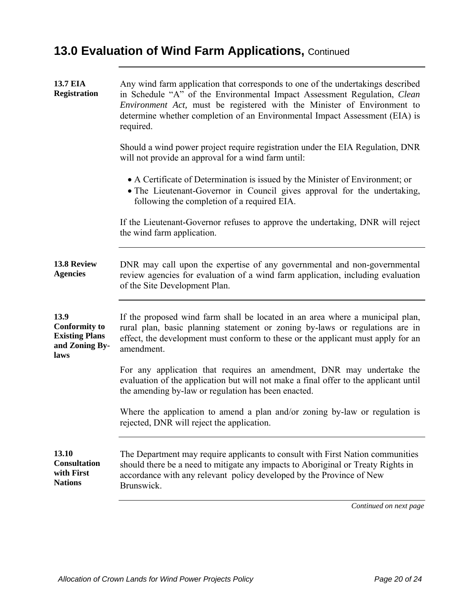# **13.0 Evaluation of Wind Farm Applications, Continued**

| <b>13.7 EIA</b><br><b>Registration</b>                                          | Any wind farm application that corresponds to one of the undertakings described<br>in Schedule "A" of the Environmental Impact Assessment Regulation, Clean<br>Environment Act, must be registered with the Minister of Environment to<br>determine whether completion of an Environmental Impact Assessment (EIA) is<br>required. |
|---------------------------------------------------------------------------------|------------------------------------------------------------------------------------------------------------------------------------------------------------------------------------------------------------------------------------------------------------------------------------------------------------------------------------|
|                                                                                 | Should a wind power project require registration under the EIA Regulation, DNR<br>will not provide an approval for a wind farm until:                                                                                                                                                                                              |
|                                                                                 | • A Certificate of Determination is issued by the Minister of Environment; or<br>• The Lieutenant-Governor in Council gives approval for the undertaking,<br>following the completion of a required EIA.                                                                                                                           |
|                                                                                 | If the Lieutenant-Governor refuses to approve the undertaking, DNR will reject<br>the wind farm application.                                                                                                                                                                                                                       |
| 13.8 Review<br><b>Agencies</b>                                                  | DNR may call upon the expertise of any governmental and non-governmental<br>review agencies for evaluation of a wind farm application, including evaluation<br>of the Site Development Plan.                                                                                                                                       |
| 13.9<br><b>Conformity to</b><br><b>Existing Plans</b><br>and Zoning By-<br>laws | If the proposed wind farm shall be located in an area where a municipal plan,<br>rural plan, basic planning statement or zoning by-laws or regulations are in<br>effect, the development must conform to these or the applicant must apply for an<br>amendment.                                                                    |
|                                                                                 | For any application that requires an amendment, DNR may undertake the<br>evaluation of the application but will not make a final offer to the applicant until<br>the amending by-law or regulation has been enacted.                                                                                                               |
|                                                                                 | Where the application to amend a plan and/or zoning by-law or regulation is<br>rejected, DNR will reject the application.                                                                                                                                                                                                          |
| 13.10<br><b>Consultation</b><br>with First<br><b>Nations</b>                    | The Department may require applicants to consult with First Nation communities<br>should there be a need to mitigate any impacts to Aboriginal or Treaty Rights in<br>accordance with any relevant policy developed by the Province of New<br>Brunswick.                                                                           |
|                                                                                 | Continued on nort nage                                                                                                                                                                                                                                                                                                             |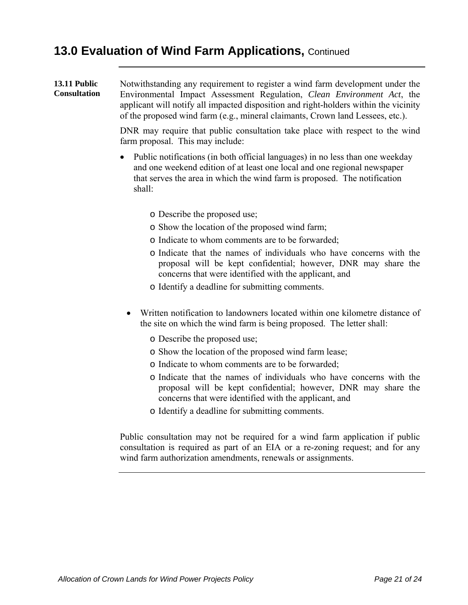#### **13.0 Evaluation of Wind Farm Applications,** Continued

**13.11 Public Consultation**  Notwithstanding any requirement to register a wind farm development under the Environmental Impact Assessment Regulation, *Clean Environment Act*, the applicant will notify all impacted disposition and right-holders within the vicinity of the proposed wind farm (e.g., mineral claimants, Crown land Lessees, etc.). DNR may require that public consultation take place with respect to the wind farm proposal. This may include: • Public notifications (in both official languages) in no less than one weekday and one weekend edition of at least one local and one regional newspaper that serves the area in which the wind farm is proposed. The notification shall: o Describe the proposed use; o Show the location of the proposed wind farm; o Indicate to whom comments are to be forwarded; o Indicate that the names of individuals who have concerns with the proposal will be kept confidential; however, DNR may share the concerns that were identified with the applicant, and o Identify a deadline for submitting comments. • Written notification to landowners located within one kilometre distance of the site on which the wind farm is being proposed. The letter shall: o Describe the proposed use; o Show the location of the proposed wind farm lease; o Indicate to whom comments are to be forwarded; o Indicate that the names of individuals who have concerns with the proposal will be kept confidential; however, DNR may share the concerns that were identified with the applicant, and o Identify a deadline for submitting comments. Public consultation may not be required for a wind farm application if public consultation is required as part of an EIA or a re-zoning request; and for any

wind farm authorization amendments, renewals or assignments.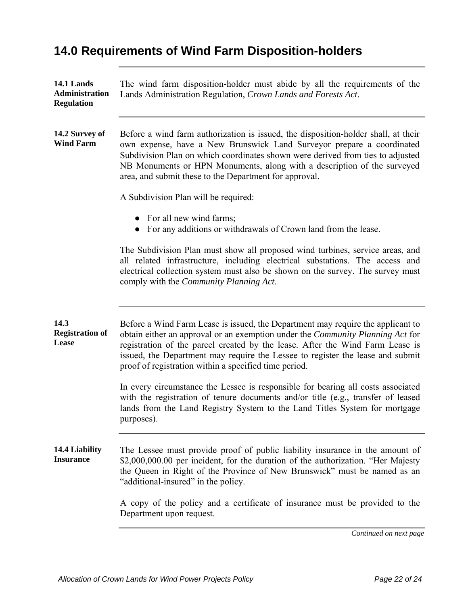## **14.0 Requirements of Wind Farm Disposition-holders**

| 14.1 Lands<br>Administration<br><b>Regulation</b> | The wind farm disposition-holder must abide by all the requirements of the<br>Lands Administration Regulation, Crown Lands and Forests Act.                                                                                                                                                                                                                                                   |
|---------------------------------------------------|-----------------------------------------------------------------------------------------------------------------------------------------------------------------------------------------------------------------------------------------------------------------------------------------------------------------------------------------------------------------------------------------------|
| 14.2 Survey of<br><b>Wind Farm</b>                | Before a wind farm authorization is issued, the disposition-holder shall, at their<br>own expense, have a New Brunswick Land Surveyor prepare a coordinated<br>Subdivision Plan on which coordinates shown were derived from ties to adjusted<br>NB Monuments or HPN Monuments, along with a description of the surveyed<br>area, and submit these to the Department for approval.            |
|                                                   | A Subdivision Plan will be required:                                                                                                                                                                                                                                                                                                                                                          |
|                                                   | For all new wind farms;<br>For any additions or withdrawals of Crown land from the lease.                                                                                                                                                                                                                                                                                                     |
|                                                   | The Subdivision Plan must show all proposed wind turbines, service areas, and<br>all related infrastructure, including electrical substations. The access and<br>electrical collection system must also be shown on the survey. The survey must<br>comply with the <i>Community Planning Act</i> .                                                                                            |
| 14.3<br><b>Registration of</b><br>Lease           | Before a Wind Farm Lease is issued, the Department may require the applicant to<br>obtain either an approval or an exemption under the Community Planning Act for<br>registration of the parcel created by the lease. After the Wind Farm Lease is<br>issued, the Department may require the Lessee to register the lease and submit<br>proof of registration within a specified time period. |
|                                                   | In every circumstance the Lessee is responsible for bearing all costs associated<br>with the registration of tenure documents and/or title (e.g., transfer of leased<br>lands from the Land Registry System to the Land Titles System for mortgage<br>purposes).                                                                                                                              |
| 14.4 Liability<br><b>Insurance</b>                | The Lessee must provide proof of public liability insurance in the amount of<br>\$2,000,000.00 per incident, for the duration of the authorization. "Her Majesty<br>the Queen in Right of the Province of New Brunswick" must be named as an<br>"additional-insured" in the policy.                                                                                                           |
|                                                   | A copy of the policy and a certificate of insurance must be provided to the<br>Department upon request.                                                                                                                                                                                                                                                                                       |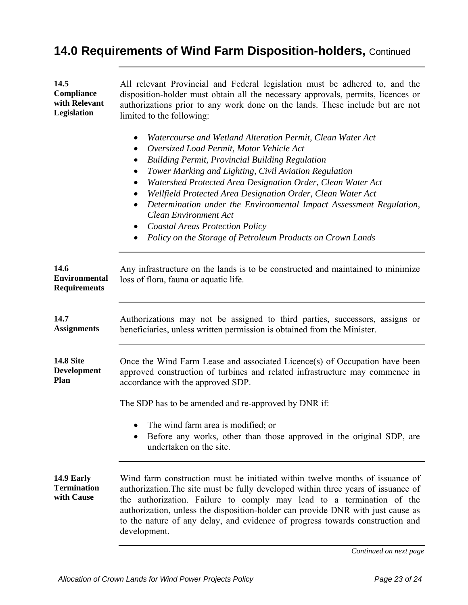## **14.0 Requirements of Wind Farm Disposition-holders,** Continued

| 14.5<br><b>Compliance</b><br>with Relevant<br>Legislation | All relevant Provincial and Federal legislation must be adhered to, and the<br>disposition-holder must obtain all the necessary approvals, permits, licences or<br>authorizations prior to any work done on the lands. These include but are not<br>limited to the following:                                                                                                                                                                                                                                                                                                                                                  |
|-----------------------------------------------------------|--------------------------------------------------------------------------------------------------------------------------------------------------------------------------------------------------------------------------------------------------------------------------------------------------------------------------------------------------------------------------------------------------------------------------------------------------------------------------------------------------------------------------------------------------------------------------------------------------------------------------------|
|                                                           | Watercourse and Wetland Alteration Permit, Clean Water Act<br>٠<br>Oversized Load Permit, Motor Vehicle Act<br>٠<br><b>Building Permit, Provincial Building Regulation</b><br>٠<br>Tower Marking and Lighting, Civil Aviation Regulation<br>٠<br>Watershed Protected Area Designation Order, Clean Water Act<br>٠<br>Wellfield Protected Area Designation Order, Clean Water Act<br>Determination under the Environmental Impact Assessment Regulation,<br>$\bullet$<br><b>Clean Environment Act</b><br><b>Coastal Areas Protection Policy</b><br>$\bullet$<br>Policy on the Storage of Petroleum Products on Crown Lands<br>٠ |
| 14.6<br><b>Environmental</b><br><b>Requirements</b>       | Any infrastructure on the lands is to be constructed and maintained to minimize<br>loss of flora, fauna or aquatic life.                                                                                                                                                                                                                                                                                                                                                                                                                                                                                                       |
| 14.7<br><b>Assignments</b>                                | Authorizations may not be assigned to third parties, successors, assigns or<br>beneficiaries, unless written permission is obtained from the Minister.                                                                                                                                                                                                                                                                                                                                                                                                                                                                         |
| <b>14.8 Site</b><br><b>Development</b><br>Plan            | Once the Wind Farm Lease and associated Licence(s) of Occupation have been<br>approved construction of turbines and related infrastructure may commence in<br>accordance with the approved SDP.                                                                                                                                                                                                                                                                                                                                                                                                                                |
|                                                           | The SDP has to be amended and re-approved by DNR if:                                                                                                                                                                                                                                                                                                                                                                                                                                                                                                                                                                           |
|                                                           | The wind farm area is modified; or<br>Before any works, other than those approved in the original SDP, are<br>undertaken on the site.                                                                                                                                                                                                                                                                                                                                                                                                                                                                                          |
| 14.9 Early<br><b>Termination</b><br>with Cause            | Wind farm construction must be initiated within twelve months of issuance of<br>authorization. The site must be fully developed within three years of issuance of<br>the authorization. Failure to comply may lead to a termination of the<br>authorization, unless the disposition-holder can provide DNR with just cause as<br>to the nature of any delay, and evidence of progress towards construction and<br>development.                                                                                                                                                                                                 |